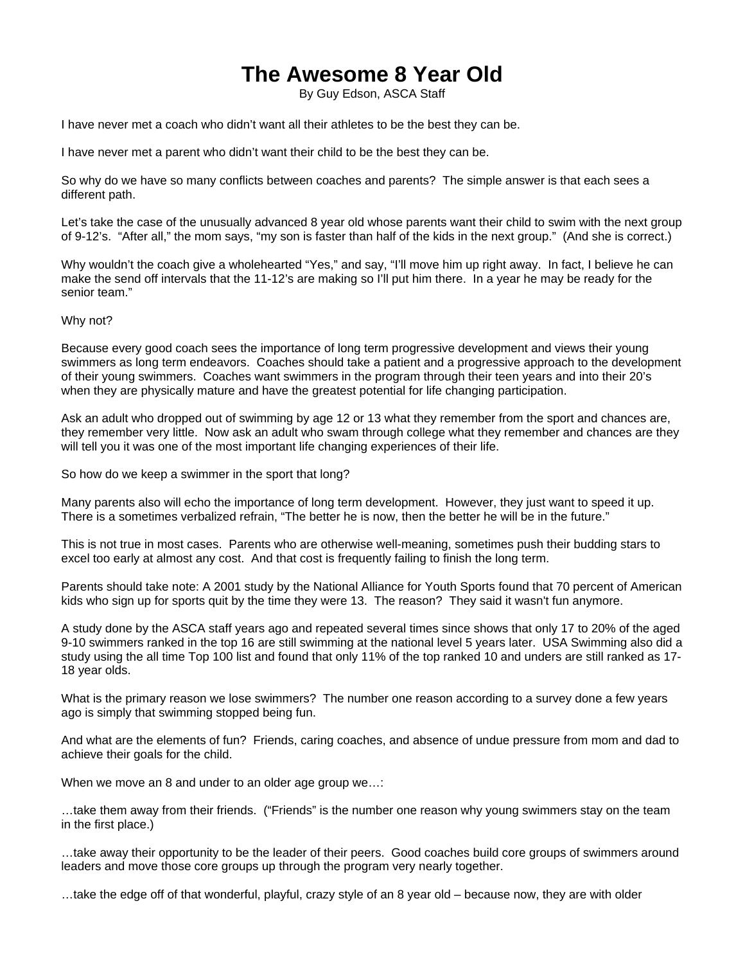## **The Awesome 8 Year Old**

By Guy Edson, ASCA Staff

I have never met a coach who didn't want all their athletes to be the best they can be.

I have never met a parent who didn't want their child to be the best they can be.

So why do we have so many conflicts between coaches and parents? The simple answer is that each sees a different path.

Let's take the case of the unusually advanced 8 year old whose parents want their child to swim with the next group of 9-12's. "After all," the mom says, "my son is faster than half of the kids in the next group." (And she is correct.)

Why wouldn't the coach give a wholehearted "Yes," and say, "I'll move him up right away. In fact, I believe he can make the send off intervals that the 11-12's are making so I'll put him there. In a year he may be ready for the senior team."

Why not?

Because every good coach sees the importance of long term progressive development and views their young swimmers as long term endeavors. Coaches should take a patient and a progressive approach to the development of their young swimmers. Coaches want swimmers in the program through their teen years and into their 20's when they are physically mature and have the greatest potential for life changing participation.

Ask an adult who dropped out of swimming by age 12 or 13 what they remember from the sport and chances are, they remember very little. Now ask an adult who swam through college what they remember and chances are they will tell you it was one of the most important life changing experiences of their life.

So how do we keep a swimmer in the sport that long?

Many parents also will echo the importance of long term development. However, they just want to speed it up. There is a sometimes verbalized refrain, "The better he is now, then the better he will be in the future."

This is not true in most cases. Parents who are otherwise well-meaning, sometimes push their budding stars to excel too early at almost any cost. And that cost is frequently failing to finish the long term.

Parents should take note: A 2001 study by the National Alliance for Youth Sports found that 70 percent of American kids who sign up for sports quit by the time they were 13. The reason? They said it wasn't fun anymore.

A study done by the ASCA staff years ago and repeated several times since shows that only 17 to 20% of the aged 9-10 swimmers ranked in the top 16 are still swimming at the national level 5 years later. USA Swimming also did a study using the all time Top 100 list and found that only 11% of the top ranked 10 and unders are still ranked as 17- 18 year olds.

What is the primary reason we lose swimmers? The number one reason according to a survey done a few years ago is simply that swimming stopped being fun.

And what are the elements of fun? Friends, caring coaches, and absence of undue pressure from mom and dad to achieve their goals for the child.

When we move an 8 and under to an older age group we…:

…take them away from their friends. ("Friends" is the number one reason why young swimmers stay on the team in the first place.)

…take away their opportunity to be the leader of their peers. Good coaches build core groups of swimmers around leaders and move those core groups up through the program very nearly together.

…take the edge off of that wonderful, playful, crazy style of an 8 year old – because now, they are with older